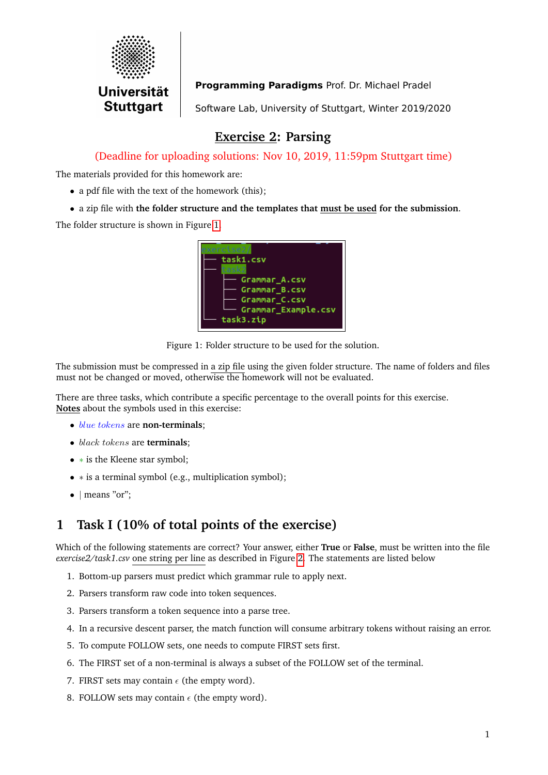

Programming Paradigms Prof. Dr. Michael Pradel

Software Lab, University of Stuttgart, Winter 2019/2020

## **Exercise 2: Parsing**

(Deadline for uploading solutions: Nov 10, 2019, 11:59pm Stuttgart time)

The materials provided for this homework are:

• a pdf file with the text of the homework (this);

• a zip file with **the folder structure and the templates that must be used for the submission**.

The folder structure is shown in Figure [1.](#page-0-0)

<span id="page-0-0"></span>

| task1.csv<br>Grammar_A.csv<br>Grammar B.csv<br>Grammar_C.csv<br>Grammar_Example.csv<br>task3.zip |
|--------------------------------------------------------------------------------------------------|
|--------------------------------------------------------------------------------------------------|

Figure 1: Folder structure to be used for the solution.

The submission must be compressed in a zip file using the given folder structure. The name of folders and files must not be changed or moved, otherwise the homework will not be evaluated.

There are three tasks, which contribute a specific percentage to the overall points for this exercise. **Notes** about the symbols used in this exercise:

- blue tokens are **non-terminals**;
- black tokens are **terminals**;
- ∗ is the Kleene star symbol;
- ∗ is a terminal symbol (e.g., multiplication symbol);
- | means "or";

# **1 Task I (10% of total points of the exercise)**

Which of the following statements are correct? Your answer, either **True** or **False**, must be written into the file *exercise2/task1.csv* one string per line as described in Figure [2.](#page-1-0) The statements are listed below

- 1. Bottom-up parsers must predict which grammar rule to apply next.
- 2. Parsers transform raw code into token sequences.
- 3. Parsers transform a token sequence into a parse tree.
- 4. In a recursive descent parser, the match function will consume arbitrary tokens without raising an error.
- 5. To compute FOLLOW sets, one needs to compute FIRST sets first.
- 6. The FIRST set of a non-terminal is always a subset of the FOLLOW set of the terminal.
- 7. FIRST sets may contain  $\epsilon$  (the empty word).
- 8. FOLLOW sets may contain  $\epsilon$  (the empty word).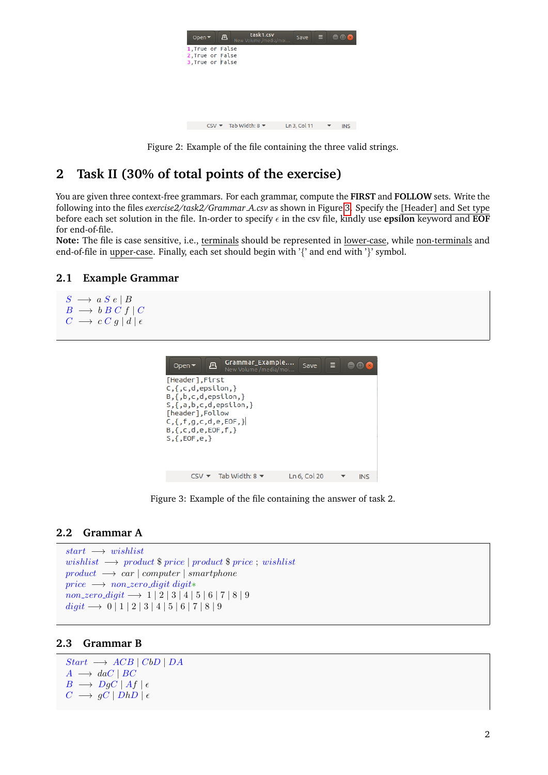<span id="page-1-0"></span>

| task1.csv<br>凸<br>Open $\blacktriangledown$<br>New Volume /media/moi | Save         | Ξ<br><b>DX</b> x |
|----------------------------------------------------------------------|--------------|------------------|
| 1. True or False<br>2, True or False<br>3, True or False             |              |                  |
|                                                                      |              |                  |
|                                                                      |              |                  |
| CSV $\blacktriangledown$ Tab Width: 8 $\blacktriangledown$           | Ln 3, Col 11 | <b>INS</b>       |

Figure 2: Example of the file containing the three valid strings.

### **2 Task II (30% of total points of the exercise)**

You are given three context-free grammars. For each grammar, compute the **FIRST** and **FOLLOW** sets. Write the following into the files *exercise2/task2/Grammar A.csv* as shown in Figure [3.](#page-1-1) Specify the [Header] and Set type before each set solution in the file. In-order to specify  $\epsilon$  in the csv file, kindly use **epsilon** keyword and **EOF** for end-of-file.

**Note:** The file is case sensitive, i.e., terminals should be represented in lower-case, while non-terminals and end-of-file in upper-case. Finally, each set should begin with '{' and end with '}' symbol.

#### **2.1 Example Grammar**

```
S \rightarrow a S e | BB \longrightarrow b B C f CC \longrightarrow c C g | d | \epsilon
```

| Open $\blacktriangledown$                                                                                                                                                                        | <b>Grammar Example</b><br>凪<br>New Volume /media/moi | Save         |     |
|--------------------------------------------------------------------------------------------------------------------------------------------------------------------------------------------------|------------------------------------------------------|--------------|-----|
| [Header], First<br>$C, \{c, d, \text{epsilon} \}$<br>$B, \{, b, c, d, epsilon, 0, \}$<br>[header], Follow<br>$C, \{f, g, c, d, e, EOF, \}$<br>$B, \{c, d, e, EOF, f\}$<br>$S, \{$ , EOF, e, $\}$ | $S, \{ ,a,b,c,d,$ epsilon, $\}$                      |              |     |
|                                                                                                                                                                                                  |                                                      |              |     |
|                                                                                                                                                                                                  | Tab Width: 8 $\blacktriangledown$                    | Ln 6, Col 20 | INS |

<span id="page-1-1"></span>Figure 3: Example of the file containing the answer of task 2.

#### **2.2 Grammar A**

```
start \rightarrow wishlistwishlist \rightarrow product \ pricel product \ price ; wishlist
product \rightarrow car | computer | smartphoneprice \longrightarrow non\_zero\_digit~digit*non\_zero\_digit \longrightarrow 1 \mid 2 \mid 3 \mid 4 \mid 5 \mid 6 \mid 7 \mid 8 \mid 9\text{digit} → 0 | 1 | 2 | 3 | 4 | 5 | 6 | 7 | 8 | 9
```
#### **2.3 Grammar B**

```
Start \rightarrow ACB | CbD | DAA \longrightarrow daC \mid BCB \longrightarrow DgC \mid Af \mid \epsilonC \rightarrow gC | DhD | \epsilon
```